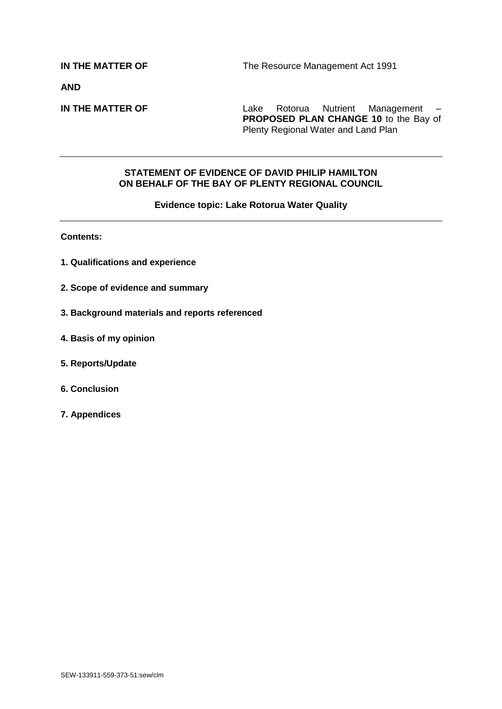**AND**

**IN THE MATTER OF** Lake Rotorua Nutrient Management – **PROPOSED PLAN CHANGE 10** to the Bay of Plenty Regional Water and Land Plan

#### **STATEMENT OF EVIDENCE OF DAVID PHILIP HAMILTON ON BEHALF OF THE BAY OF PLENTY REGIONAL COUNCIL**

#### **Evidence topic: Lake Rotorua Water Quality**

**Contents:**

- **1. Qualifications and experience**
- **2. Scope of evidence and summary**
- **3. Background materials and reports referenced**
- **4. Basis of my opinion**
- **5. Reports/Update**
- **6. Conclusion**
- **7. Appendices**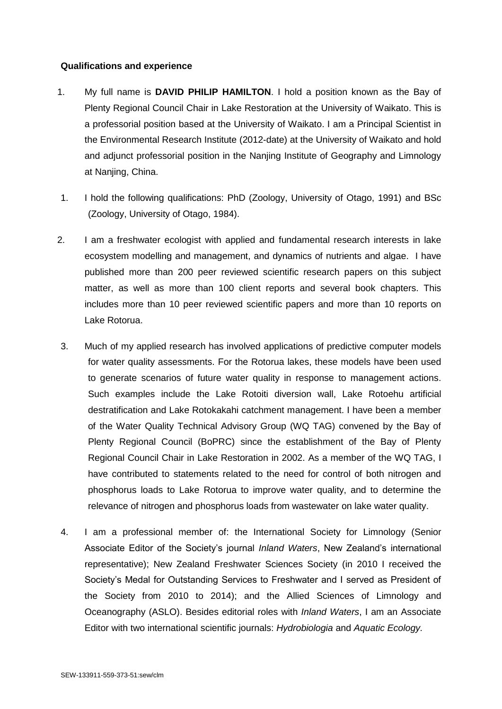## **Qualifications and experience**

- 1. My full name is **DAVID PHILIP HAMILTON**. I hold a position known as the Bay of Plenty Regional Council Chair in Lake Restoration at the University of Waikato. This is a professorial position based at the University of Waikato. I am a Principal Scientist in the Environmental Research Institute (2012-date) at the University of Waikato and hold and adjunct professorial position in the Nanjing Institute of Geography and Limnology at Nanjing, China.
- 1. I hold the following qualifications: PhD (Zoology, University of Otago, 1991) and BSc (Zoology, University of Otago, 1984).
- 2. I am a freshwater ecologist with applied and fundamental research interests in lake ecosystem modelling and management, and dynamics of nutrients and algae. I have published more than 200 peer reviewed scientific research papers on this subject matter, as well as more than 100 client reports and several book chapters. This includes more than 10 peer reviewed scientific papers and more than 10 reports on Lake Rotorua.
- 3. Much of my applied research has involved applications of predictive computer models for water quality assessments. For the Rotorua lakes, these models have been used to generate scenarios of future water quality in response to management actions. Such examples include the Lake Rotoiti diversion wall, Lake Rotoehu artificial destratification and Lake Rotokakahi catchment management. I have been a member of the Water Quality Technical Advisory Group (WQ TAG) convened by the Bay of Plenty Regional Council (BoPRC) since the establishment of the Bay of Plenty Regional Council Chair in Lake Restoration in 2002. As a member of the WQ TAG, I have contributed to statements related to the need for control of both nitrogen and phosphorus loads to Lake Rotorua to improve water quality, and to determine the relevance of nitrogen and phosphorus loads from wastewater on lake water quality.
- 4. I am a professional member of: the International Society for Limnology (Senior Associate Editor of the Society's journal *Inland Waters*, New Zealand's international representative); New Zealand Freshwater Sciences Society (in 2010 I received the Society's Medal for Outstanding Services to Freshwater and I served as President of the Society from 2010 to 2014); and the Allied Sciences of Limnology and Oceanography (ASLO). Besides editorial roles with *Inland Waters*, I am an Associate Editor with two international scientific journals: *Hydrobiologia* and *Aquatic Ecology.*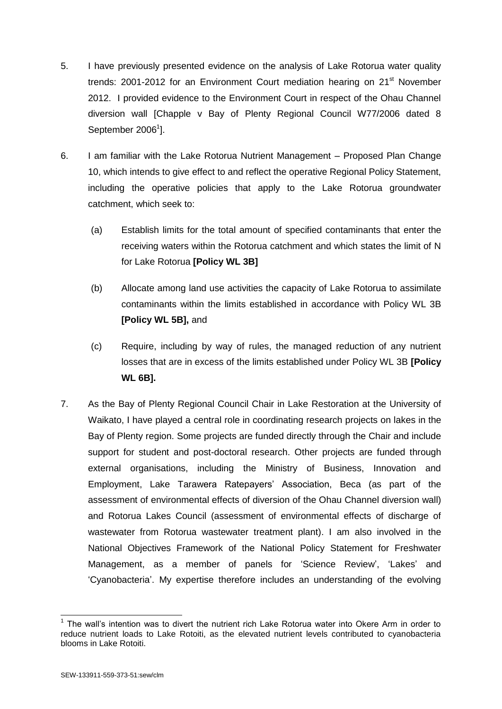- 5. I have previously presented evidence on the analysis of Lake Rotorua water quality trends: 2001-2012 for an Environment Court mediation hearing on 21<sup>st</sup> November 2012. I provided evidence to the Environment Court in respect of the Ohau Channel diversion wall [Chapple v Bay of Plenty Regional Council W77/2006 dated 8 September 2006<sup>1</sup>].
- 6. I am familiar with the Lake Rotorua Nutrient Management Proposed Plan Change 10, which intends to give effect to and reflect the operative Regional Policy Statement, including the operative policies that apply to the Lake Rotorua groundwater catchment, which seek to:
	- (a) Establish limits for the total amount of specified contaminants that enter the receiving waters within the Rotorua catchment and which states the limit of N for Lake Rotorua **[Policy WL 3B]**
	- (b) Allocate among land use activities the capacity of Lake Rotorua to assimilate contaminants within the limits established in accordance with Policy WL 3B **[Policy WL 5B],** and
	- (c) Require, including by way of rules, the managed reduction of any nutrient losses that are in excess of the limits established under Policy WL 3B **[Policy WL 6B].**
- 7. As the Bay of Plenty Regional Council Chair in Lake Restoration at the University of Waikato, I have played a central role in coordinating research projects on lakes in the Bay of Plenty region. Some projects are funded directly through the Chair and include support for student and post-doctoral research. Other projects are funded through external organisations, including the Ministry of Business, Innovation and Employment, Lake Tarawera Ratepayers' Association, Beca (as part of the assessment of environmental effects of diversion of the Ohau Channel diversion wall) and Rotorua Lakes Council (assessment of environmental effects of discharge of wastewater from Rotorua wastewater treatment plant). I am also involved in the National Objectives Framework of the National Policy Statement for Freshwater Management, as a member of panels for 'Science Review', 'Lakes' and 'Cyanobacteria'. My expertise therefore includes an understanding of the evolving

 $\overline{1}$  $1$  The wall's intention was to divert the nutrient rich Lake Rotorua water into Okere Arm in order to reduce nutrient loads to Lake Rotoiti, as the elevated nutrient levels contributed to cyanobacteria blooms in Lake Rotoiti.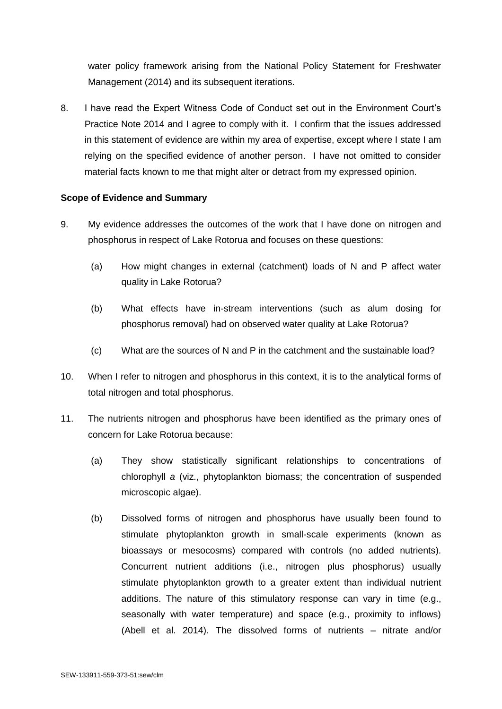water policy framework arising from the National Policy Statement for Freshwater Management (2014) and its subsequent iterations.

8. I have read the Expert Witness Code of Conduct set out in the Environment Court's Practice Note 2014 and I agree to comply with it. I confirm that the issues addressed in this statement of evidence are within my area of expertise, except where I state I am relying on the specified evidence of another person. I have not omitted to consider material facts known to me that might alter or detract from my expressed opinion.

## **Scope of Evidence and Summary**

- 9. My evidence addresses the outcomes of the work that I have done on nitrogen and phosphorus in respect of Lake Rotorua and focuses on these questions:
	- (a) How might changes in external (catchment) loads of N and P affect water quality in Lake Rotorua?
	- (b) What effects have in-stream interventions (such as alum dosing for phosphorus removal) had on observed water quality at Lake Rotorua?
	- (c) What are the sources of N and P in the catchment and the sustainable load?
- 10. When I refer to nitrogen and phosphorus in this context, it is to the analytical forms of total nitrogen and total phosphorus.
- 11. The nutrients nitrogen and phosphorus have been identified as the primary ones of concern for Lake Rotorua because:
	- (a) They show statistically significant relationships to concentrations of chlorophyll *a* (viz., phytoplankton biomass; the concentration of suspended microscopic algae).
	- (b) Dissolved forms of nitrogen and phosphorus have usually been found to stimulate phytoplankton growth in small-scale experiments (known as bioassays or mesocosms) compared with controls (no added nutrients). Concurrent nutrient additions (i.e., nitrogen plus phosphorus) usually stimulate phytoplankton growth to a greater extent than individual nutrient additions. The nature of this stimulatory response can vary in time (e.g., seasonally with water temperature) and space (e.g., proximity to inflows) (Abell et al. 2014). The dissolved forms of nutrients – nitrate and/or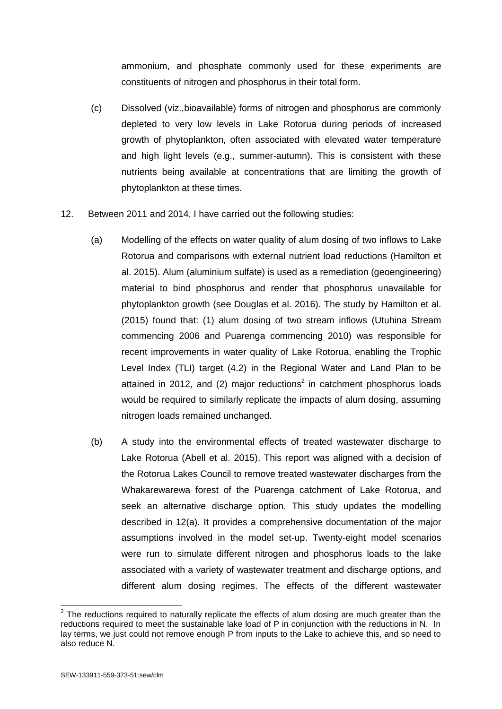ammonium, and phosphate commonly used for these experiments are constituents of nitrogen and phosphorus in their total form.

- (c) Dissolved (viz.,bioavailable) forms of nitrogen and phosphorus are commonly depleted to very low levels in Lake Rotorua during periods of increased growth of phytoplankton, often associated with elevated water temperature and high light levels (e.g., summer-autumn). This is consistent with these nutrients being available at concentrations that are limiting the growth of phytoplankton at these times.
- 12. Between 2011 and 2014, I have carried out the following studies:
	- (a) Modelling of the effects on water quality of alum dosing of two inflows to Lake Rotorua and comparisons with external nutrient load reductions (Hamilton et al. 2015). Alum (aluminium sulfate) is used as a remediation (geoengineering) material to bind phosphorus and render that phosphorus unavailable for phytoplankton growth (see Douglas et al. 2016). The study by Hamilton et al. (2015) found that: (1) alum dosing of two stream inflows (Utuhina Stream commencing 2006 and Puarenga commencing 2010) was responsible for recent improvements in water quality of Lake Rotorua, enabling the Trophic Level Index (TLI) target (4.2) in the Regional Water and Land Plan to be attained in 2012, and (2) major reductions<sup>2</sup> in catchment phosphorus loads would be required to similarly replicate the impacts of alum dosing, assuming nitrogen loads remained unchanged.
	- (b) A study into the environmental effects of treated wastewater discharge to Lake Rotorua (Abell et al. 2015). This report was aligned with a decision of the Rotorua Lakes Council to remove treated wastewater discharges from the Whakarewarewa forest of the Puarenga catchment of Lake Rotorua, and seek an alternative discharge option. This study updates the modelling described in 12(a). It provides a comprehensive documentation of the major assumptions involved in the model set-up. Twenty-eight model scenarios were run to simulate different nitrogen and phosphorus loads to the lake associated with a variety of wastewater treatment and discharge options, and different alum dosing regimes. The effects of the different wastewater

 2 The reductions required to naturally replicate the effects of alum dosing are much greater than the reductions required to meet the sustainable lake load of P in conjunction with the reductions in N. In lay terms, we just could not remove enough P from inputs to the Lake to achieve this, and so need to also reduce N.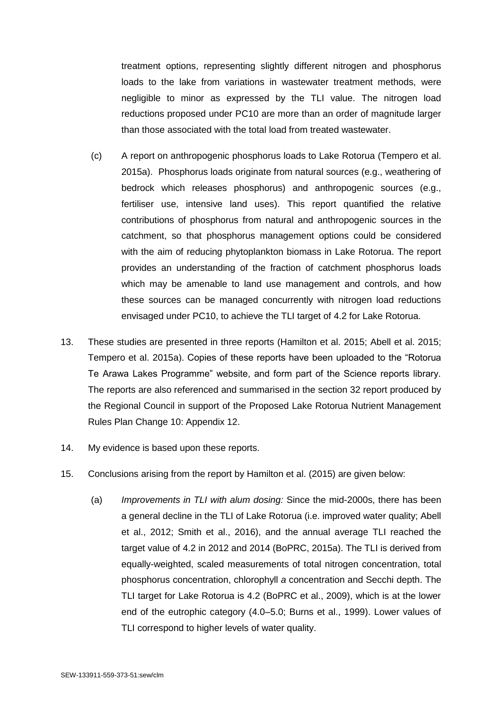treatment options, representing slightly different nitrogen and phosphorus loads to the lake from variations in wastewater treatment methods, were negligible to minor as expressed by the TLI value. The nitrogen load reductions proposed under PC10 are more than an order of magnitude larger than those associated with the total load from treated wastewater.

- (c) A report on anthropogenic phosphorus loads to Lake Rotorua (Tempero et al. 2015a). Phosphorus loads originate from natural sources (e.g., weathering of bedrock which releases phosphorus) and anthropogenic sources (e.g., fertiliser use, intensive land uses). This report quantified the relative contributions of phosphorus from natural and anthropogenic sources in the catchment, so that phosphorus management options could be considered with the aim of reducing phytoplankton biomass in Lake Rotorua. The report provides an understanding of the fraction of catchment phosphorus loads which may be amenable to land use management and controls, and how these sources can be managed concurrently with nitrogen load reductions envisaged under PC10, to achieve the TLI target of 4.2 for Lake Rotorua.
- 13. These studies are presented in three reports (Hamilton et al. 2015; Abell et al. 2015; Tempero et al. 2015a). Copies of these reports have been uploaded to the "Rotorua Te Arawa Lakes Programme" website, and form part of the Science reports library. The reports are also referenced and summarised in the section 32 report produced by the Regional Council in support of the Proposed Lake Rotorua Nutrient Management Rules Plan Change 10: Appendix 12.
- 14. My evidence is based upon these reports.
- 15. Conclusions arising from the report by Hamilton et al. (2015) are given below:
	- (a) *Improvements in TLI with alum dosing:* Since the mid-2000s, there has been a general decline in the TLI of Lake Rotorua (i.e. improved water quality; Abell et al., 2012; Smith et al., 2016), and the annual average TLI reached the target value of 4.2 in 2012 and 2014 (BoPRC, 2015a). The TLI is derived from equally-weighted, scaled measurements of total nitrogen concentration, total phosphorus concentration, chlorophyll *a* concentration and Secchi depth. The TLI target for Lake Rotorua is 4.2 (BoPRC et al., 2009), which is at the lower end of the eutrophic category (4.0–5.0; Burns et al., 1999). Lower values of TLI correspond to higher levels of water quality.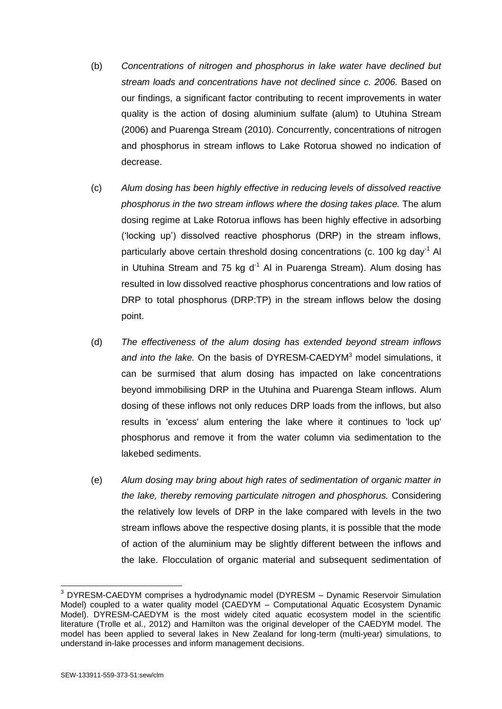- (b) *Concentrations of nitrogen and phosphorus in lake water have declined but stream loads and concentrations have not declined since c. 2006.* Based on our findings, a significant factor contributing to recent improvements in water quality is the action of dosing aluminium sulfate (alum) to Utuhina Stream (2006) and Puarenga Stream (2010). Concurrently, concentrations of nitrogen and phosphorus in stream inflows to Lake Rotorua showed no indication of decrease.
- (c) *Alum dosing has been highly effective in reducing levels of dissolved reactive phosphorus in the two stream inflows where the dosing takes place.* The alum dosing regime at Lake Rotorua inflows has been highly effective in adsorbing ('locking up') dissolved reactive phosphorus (DRP) in the stream inflows, particularly above certain threshold dosing concentrations (c. 100 kg day<sup>-1</sup> Al in Utuhina Stream and 75 kg  $d<sup>-1</sup>$  Al in Puarenga Stream). Alum dosing has resulted in low dissolved reactive phosphorus concentrations and low ratios of DRP to total phosphorus (DRP:TP) in the stream inflows below the dosing point.
- (d) *The effectiveness of the alum dosing has extended beyond stream inflows*  and into the lake. On the basis of DYRESM-CAEDYM<sup>3</sup> model simulations, it can be surmised that alum dosing has impacted on lake concentrations beyond immobilising DRP in the Utuhina and Puarenga Steam inflows. Alum dosing of these inflows not only reduces DRP loads from the inflows, but also results in 'excess' alum entering the lake where it continues to 'lock up' phosphorus and remove it from the water column via sedimentation to the lakebed sediments.
- (e) *Alum dosing may bring about high rates of sedimentation of organic matter in the lake, thereby removing particulate nitrogen and phosphorus.* Considering the relatively low levels of DRP in the lake compared with levels in the two stream inflows above the respective dosing plants, it is possible that the mode of action of the aluminium may be slightly different between the inflows and the lake. Flocculation of organic material and subsequent sedimentation of

 $\overline{a}$  $3$  DYRESM-CAEDYM comprises a hydrodynamic model (DYRESM – Dynamic Reservoir Simulation Model) coupled to a water quality model (CAEDYM – Computational Aquatic Ecosystem Dynamic Model). DYRESM-CAEDYM is the most widely cited aquatic ecosystem model in the scientific literature (Trolle et al., 2012) and Hamilton was the original developer of the CAEDYM model. The model has been applied to several lakes in New Zealand for long-term (multi-year) simulations, to understand in-lake processes and inform management decisions.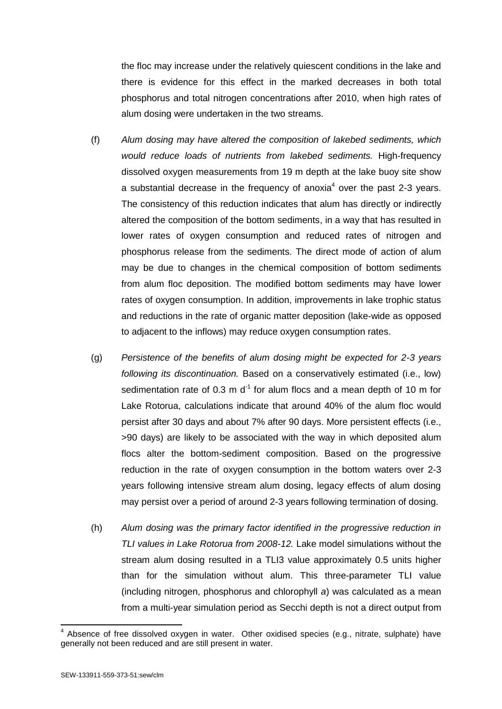the floc may increase under the relatively quiescent conditions in the lake and there is evidence for this effect in the marked decreases in both total phosphorus and total nitrogen concentrations after 2010, when high rates of alum dosing were undertaken in the two streams.

- (f) *Alum dosing may have altered the composition of lakebed sediments, which would reduce loads of nutrients from lakebed sediments.* High-frequency dissolved oxygen measurements from 19 m depth at the lake buoy site show a substantial decrease in the frequency of anoxia<sup>4</sup> over the past 2-3 years. The consistency of this reduction indicates that alum has directly or indirectly altered the composition of the bottom sediments, in a way that has resulted in lower rates of oxygen consumption and reduced rates of nitrogen and phosphorus release from the sediments. The direct mode of action of alum may be due to changes in the chemical composition of bottom sediments from alum floc deposition. The modified bottom sediments may have lower rates of oxygen consumption. In addition, improvements in lake trophic status and reductions in the rate of organic matter deposition (lake-wide as opposed to adjacent to the inflows) may reduce oxygen consumption rates.
- (g) *Persistence of the benefits of alum dosing might be expected for 2-3 years following its discontinuation.* Based on a conservatively estimated (i.e., low) sedimentation rate of 0.3 m  $d<sup>-1</sup>$  for alum flocs and a mean depth of 10 m for Lake Rotorua, calculations indicate that around 40% of the alum floc would persist after 30 days and about 7% after 90 days. More persistent effects (i.e., >90 days) are likely to be associated with the way in which deposited alum flocs alter the bottom-sediment composition. Based on the progressive reduction in the rate of oxygen consumption in the bottom waters over 2-3 years following intensive stream alum dosing, legacy effects of alum dosing may persist over a period of around 2-3 years following termination of dosing.
- (h) *Alum dosing was the primary factor identified in the progressive reduction in TLI values in Lake Rotorua from 2008-12.* Lake model simulations without the stream alum dosing resulted in a TLI3 value approximately 0.5 units higher than for the simulation without alum. This three-parameter TLI value (including nitrogen, phosphorus and chlorophyll *a*) was calculated as a mean from a multi-year simulation period as Secchi depth is not a direct output from

 4 Absence of free dissolved oxygen in water. Other oxidised species (e.g., nitrate, sulphate) have generally not been reduced and are still present in water.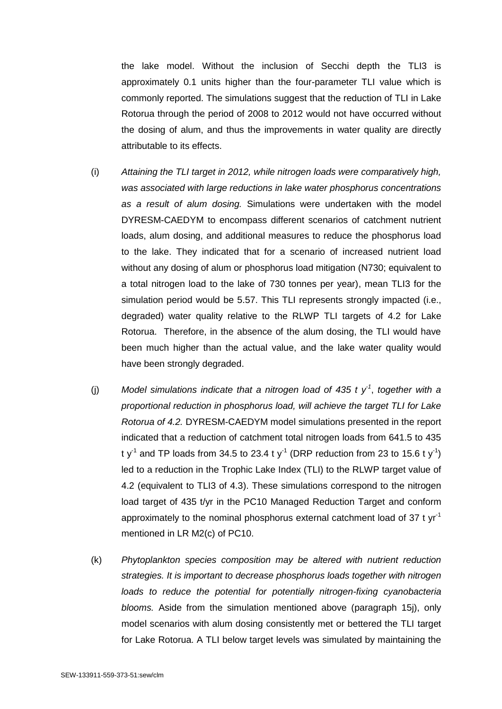the lake model. Without the inclusion of Secchi depth the TLI3 is approximately 0.1 units higher than the four-parameter TLI value which is commonly reported. The simulations suggest that the reduction of TLI in Lake Rotorua through the period of 2008 to 2012 would not have occurred without the dosing of alum, and thus the improvements in water quality are directly attributable to its effects.

- (i) *Attaining the TLI target in 2012, while nitrogen loads were comparatively high, was associated with large reductions in lake water phosphorus concentrations as a result of alum dosing.* Simulations were undertaken with the model DYRESM-CAEDYM to encompass different scenarios of catchment nutrient loads, alum dosing, and additional measures to reduce the phosphorus load to the lake. They indicated that for a scenario of increased nutrient load without any dosing of alum or phosphorus load mitigation (N730; equivalent to a total nitrogen load to the lake of 730 tonnes per year), mean TLI3 for the simulation period would be 5.57. This TLI represents strongly impacted (i.e., degraded) water quality relative to the RLWP TLI targets of 4.2 for Lake Rotorua. Therefore, in the absence of the alum dosing, the TLI would have been much higher than the actual value, and the lake water quality would have been strongly degraded.
- (j) Model simulations indicate that a nitrogen load of 435 t  $y<sup>-1</sup>$ , together with a *proportional reduction in phosphorus load, will achieve the target TLI for Lake Rotorua of 4.2.* DYRESM-CAEDYM model simulations presented in the report indicated that a reduction of catchment total nitrogen loads from 641.5 to 435 t y<sup>-1</sup> and TP loads from 34.5 to 23.4 t y<sup>-1</sup> (DRP reduction from 23 to 15.6 t y<sup>-1</sup>) led to a reduction in the Trophic Lake Index (TLI) to the RLWP target value of 4.2 (equivalent to TLI3 of 4.3). These simulations correspond to the nitrogen load target of 435 t/yr in the PC10 Managed Reduction Target and conform approximately to the nominal phosphorus external catchment load of 37 t yr-1 mentioned in LR M2(c) of PC10.
- (k) *Phytoplankton species composition may be altered with nutrient reduction strategies. It is important to decrease phosphorus loads together with nitrogen loads to reduce the potential for potentially nitrogen-fixing cyanobacteria blooms.* Aside from the simulation mentioned above (paragraph 15j), only model scenarios with alum dosing consistently met or bettered the TLI target for Lake Rotorua. A TLI below target levels was simulated by maintaining the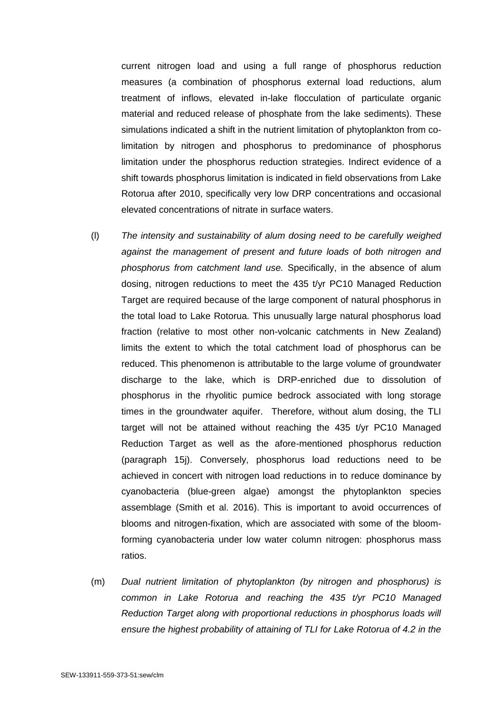current nitrogen load and using a full range of phosphorus reduction measures (a combination of phosphorus external load reductions, alum treatment of inflows, elevated in-lake flocculation of particulate organic material and reduced release of phosphate from the lake sediments). These simulations indicated a shift in the nutrient limitation of phytoplankton from colimitation by nitrogen and phosphorus to predominance of phosphorus limitation under the phosphorus reduction strategies. Indirect evidence of a shift towards phosphorus limitation is indicated in field observations from Lake Rotorua after 2010, specifically very low DRP concentrations and occasional elevated concentrations of nitrate in surface waters.

- (l) *The intensity and sustainability of alum dosing need to be carefully weighed against the management of present and future loads of both nitrogen and phosphorus from catchment land use.* Specifically, in the absence of alum dosing, nitrogen reductions to meet the 435 t/yr PC10 Managed Reduction Target are required because of the large component of natural phosphorus in the total load to Lake Rotorua. This unusually large natural phosphorus load fraction (relative to most other non-volcanic catchments in New Zealand) limits the extent to which the total catchment load of phosphorus can be reduced. This phenomenon is attributable to the large volume of groundwater discharge to the lake, which is DRP-enriched due to dissolution of phosphorus in the rhyolitic pumice bedrock associated with long storage times in the groundwater aquifer. Therefore, without alum dosing, the TLI target will not be attained without reaching the 435 t/yr PC10 Managed Reduction Target as well as the afore-mentioned phosphorus reduction (paragraph 15j). Conversely, phosphorus load reductions need to be achieved in concert with nitrogen load reductions in to reduce dominance by cyanobacteria (blue-green algae) amongst the phytoplankton species assemblage (Smith et al. 2016). This is important to avoid occurrences of blooms and nitrogen-fixation, which are associated with some of the bloomforming cyanobacteria under low water column nitrogen: phosphorus mass ratios.
- (m) *Dual nutrient limitation of phytoplankton (by nitrogen and phosphorus) is common in Lake Rotorua and reaching the 435 t/yr PC10 Managed Reduction Target along with proportional reductions in phosphorus loads will ensure the highest probability of attaining of TLI for Lake Rotorua of 4.2 in the*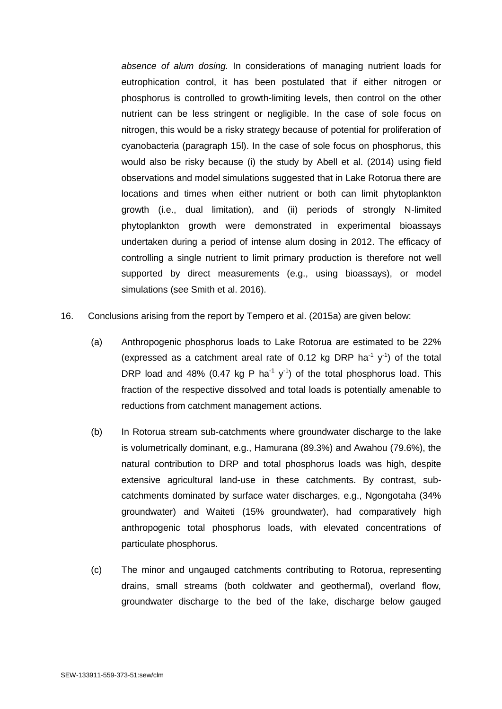*absence of alum dosing.* In considerations of managing nutrient loads for eutrophication control, it has been postulated that if either nitrogen or phosphorus is controlled to growth-limiting levels, then control on the other nutrient can be less stringent or negligible. In the case of sole focus on nitrogen, this would be a risky strategy because of potential for proliferation of cyanobacteria (paragraph 15l). In the case of sole focus on phosphorus, this would also be risky because (i) the study by Abell et al. (2014) using field observations and model simulations suggested that in Lake Rotorua there are locations and times when either nutrient or both can limit phytoplankton growth (i.e., dual limitation), and (ii) periods of strongly N-limited phytoplankton growth were demonstrated in experimental bioassays undertaken during a period of intense alum dosing in 2012. The efficacy of controlling a single nutrient to limit primary production is therefore not well supported by direct measurements (e.g., using bioassays), or model simulations (see Smith et al. 2016).

- 16. Conclusions arising from the report by Tempero et al. (2015a) are given below:
	- (a) Anthropogenic phosphorus loads to Lake Rotorua are estimated to be 22% (expressed as a catchment areal rate of 0.12 kg DRP ha<sup>-1</sup>  $y$ <sup>-1</sup>) of the total DRP load and 48% (0.47 kg P ha<sup>-1</sup> y<sup>-1</sup>) of the total phosphorus load. This fraction of the respective dissolved and total loads is potentially amenable to reductions from catchment management actions.
	- (b) In Rotorua stream sub-catchments where groundwater discharge to the lake is volumetrically dominant, e.g., Hamurana (89.3%) and Awahou (79.6%), the natural contribution to DRP and total phosphorus loads was high, despite extensive agricultural land-use in these catchments. By contrast, subcatchments dominated by surface water discharges, e.g., Ngongotaha (34% groundwater) and Waiteti (15% groundwater), had comparatively high anthropogenic total phosphorus loads, with elevated concentrations of particulate phosphorus.
	- (c) The minor and ungauged catchments contributing to Rotorua, representing drains, small streams (both coldwater and geothermal), overland flow, groundwater discharge to the bed of the lake, discharge below gauged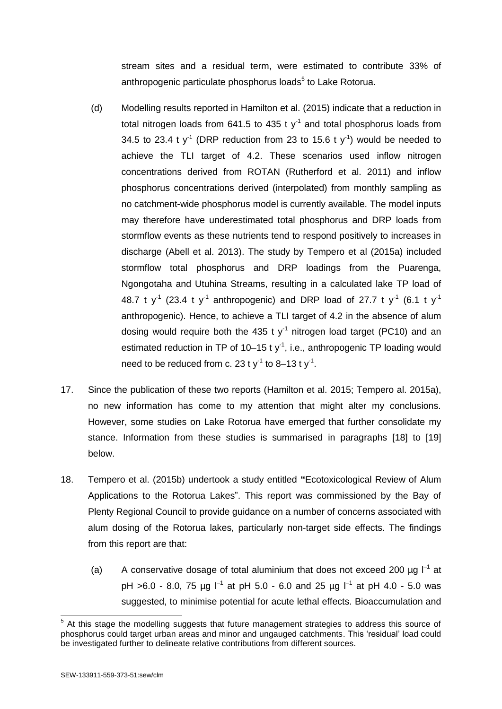stream sites and a residual term, were estimated to contribute 33% of anthropogenic particulate phosphorus loads<sup>5</sup> to Lake Rotorua.

- (d) Modelling results reported in Hamilton et al. (2015) indicate that a reduction in total nitrogen loads from 641.5 to 435 t  $y^{-1}$  and total phosphorus loads from 34.5 to 23.4 t y<sup>-1</sup> (DRP reduction from 23 to 15.6 t y<sup>-1</sup>) would be needed to achieve the TLI target of 4.2. These scenarios used inflow nitrogen concentrations derived from ROTAN (Rutherford et al. 2011) and inflow phosphorus concentrations derived (interpolated) from monthly sampling as no catchment-wide phosphorus model is currently available. The model inputs may therefore have underestimated total phosphorus and DRP loads from stormflow events as these nutrients tend to respond positively to increases in discharge (Abell et al. 2013). The study by Tempero et al (2015a) included stormflow total phosphorus and DRP loadings from the Puarenga, Ngongotaha and Utuhina Streams, resulting in a calculated lake TP load of 48.7 t y<sup>-1</sup> (23.4 t y<sup>-1</sup> anthropogenic) and DRP load of 27.7 t y<sup>-1</sup> (6.1 t y<sup>-1</sup> anthropogenic). Hence, to achieve a TLI target of 4.2 in the absence of alum dosing would require both the 435 t  $y<sup>-1</sup>$  nitrogen load target (PC10) and an estimated reduction in TP of 10–15 t  $y<sup>-1</sup>$ , i.e., anthropogenic TP loading would need to be reduced from c. 23 t  $y^{-1}$  to 8–13 t  $y^{-1}$ .
- 17. Since the publication of these two reports (Hamilton et al. 2015; Tempero al. 2015a), no new information has come to my attention that might alter my conclusions. However, some studies on Lake Rotorua have emerged that further consolidate my stance. Information from these studies is summarised in paragraphs [18] to [19] below.
- 18. Tempero et al. (2015b) undertook a study entitled **"**Ecotoxicological Review of Alum Applications to the Rotorua Lakes". This report was commissioned by the Bay of Plenty Regional Council to provide guidance on a number of concerns associated with alum dosing of the Rotorua lakes, particularly non-target side effects. The findings from this report are that:
	- (a) A conservative dosage of total aluminium that does not exceed 200  $\mu$ g  $I^{-1}$  at pH >6.0 - 8.0, 75 µg  $\vert$ <sup>-1</sup> at pH 5.0 - 6.0 and 25 µg  $\vert$ <sup>-1</sup> at pH 4.0 - 5.0 was suggested, to minimise potential for acute lethal effects. Bioaccumulation and

<sup>-</sup> $5$  At this stage the modelling suggests that future management strategies to address this source of phosphorus could target urban areas and minor and ungauged catchments. This 'residual' load could be investigated further to delineate relative contributions from different sources.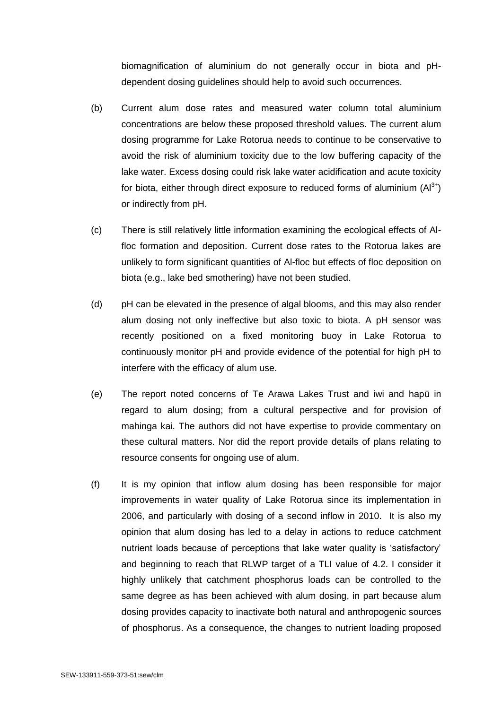biomagnification of aluminium do not generally occur in biota and pHdependent dosing guidelines should help to avoid such occurrences.

- (b) Current alum dose rates and measured water column total aluminium concentrations are below these proposed threshold values. The current alum dosing programme for Lake Rotorua needs to continue to be conservative to avoid the risk of aluminium toxicity due to the low buffering capacity of the lake water. Excess dosing could risk lake water acidification and acute toxicity for biota, either through direct exposure to reduced forms of aluminium  $(AI^{3+})$ or indirectly from pH.
- (c) There is still relatively little information examining the ecological effects of Alfloc formation and deposition. Current dose rates to the Rotorua lakes are unlikely to form significant quantities of Al-floc but effects of floc deposition on biota (e.g., lake bed smothering) have not been studied.
- (d) pH can be elevated in the presence of algal blooms, and this may also render alum dosing not only ineffective but also toxic to biota. A pH sensor was recently positioned on a fixed monitoring buoy in Lake Rotorua to continuously monitor pH and provide evidence of the potential for high pH to interfere with the efficacy of alum use.
- (e) The report noted concerns of Te Arawa Lakes Trust and iwi and hapū in regard to alum dosing; from a cultural perspective and for provision of mahinga kai. The authors did not have expertise to provide commentary on these cultural matters. Nor did the report provide details of plans relating to resource consents for ongoing use of alum.
- (f) It is my opinion that inflow alum dosing has been responsible for major improvements in water quality of Lake Rotorua since its implementation in 2006, and particularly with dosing of a second inflow in 2010. It is also my opinion that alum dosing has led to a delay in actions to reduce catchment nutrient loads because of perceptions that lake water quality is 'satisfactory' and beginning to reach that RLWP target of a TLI value of 4.2. I consider it highly unlikely that catchment phosphorus loads can be controlled to the same degree as has been achieved with alum dosing, in part because alum dosing provides capacity to inactivate both natural and anthropogenic sources of phosphorus. As a consequence, the changes to nutrient loading proposed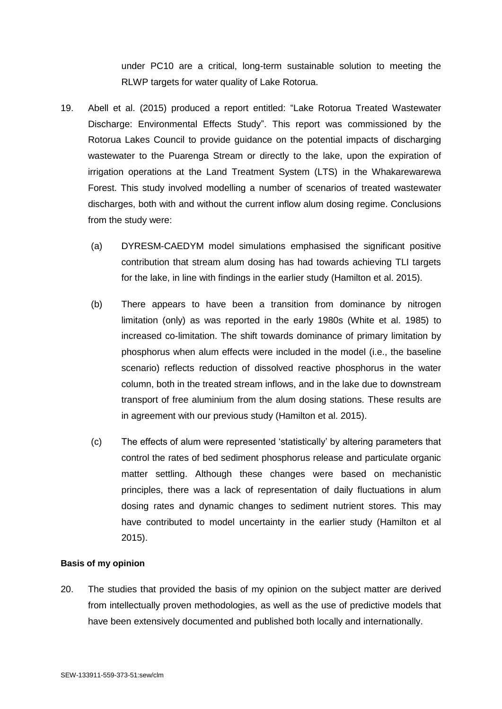under PC10 are a critical, long-term sustainable solution to meeting the RLWP targets for water quality of Lake Rotorua.

- 19. Abell et al. (2015) produced a report entitled: "Lake Rotorua Treated Wastewater Discharge: Environmental Effects Study". This report was commissioned by the Rotorua Lakes Council to provide guidance on the potential impacts of discharging wastewater to the Puarenga Stream or directly to the lake, upon the expiration of irrigation operations at the Land Treatment System (LTS) in the Whakarewarewa Forest. This study involved modelling a number of scenarios of treated wastewater discharges, both with and without the current inflow alum dosing regime. Conclusions from the study were:
	- (a) DYRESM-CAEDYM model simulations emphasised the significant positive contribution that stream alum dosing has had towards achieving TLI targets for the lake, in line with findings in the earlier study (Hamilton et al. 2015).
	- (b) There appears to have been a transition from dominance by nitrogen limitation (only) as was reported in the early 1980s (White et al. 1985) to increased co-limitation. The shift towards dominance of primary limitation by phosphorus when alum effects were included in the model (i.e., the baseline scenario) reflects reduction of dissolved reactive phosphorus in the water column, both in the treated stream inflows, and in the lake due to downstream transport of free aluminium from the alum dosing stations. These results are in agreement with our previous study (Hamilton et al. 2015).
	- (c) The effects of alum were represented 'statistically' by altering parameters that control the rates of bed sediment phosphorus release and particulate organic matter settling. Although these changes were based on mechanistic principles, there was a lack of representation of daily fluctuations in alum dosing rates and dynamic changes to sediment nutrient stores. This may have contributed to model uncertainty in the earlier study (Hamilton et al 2015).

#### **Basis of my opinion**

20. The studies that provided the basis of my opinion on the subject matter are derived from intellectually proven methodologies, as well as the use of predictive models that have been extensively documented and published both locally and internationally.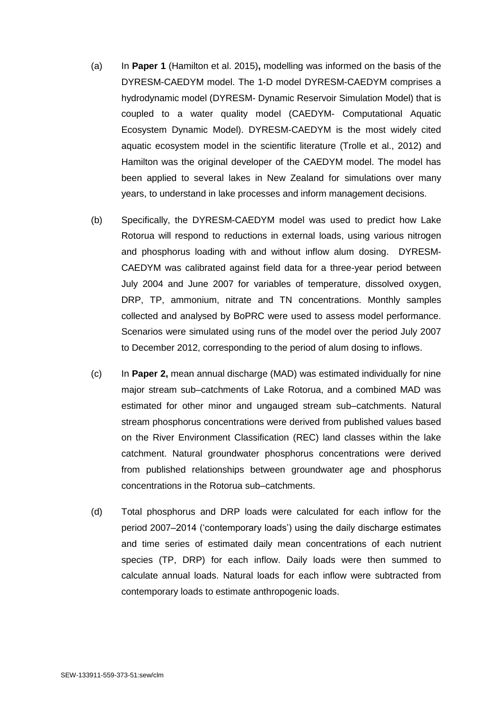- (a) In **Paper 1** (Hamilton et al. 2015)**,** modelling was informed on the basis of the DYRESM-CAEDYM model. The 1-D model DYRESM-CAEDYM comprises a hydrodynamic model (DYRESM- Dynamic Reservoir Simulation Model) that is coupled to a water quality model (CAEDYM- Computational Aquatic Ecosystem Dynamic Model). DYRESM-CAEDYM is the most widely cited aquatic ecosystem model in the scientific literature (Trolle et al., 2012) and Hamilton was the original developer of the CAEDYM model. The model has been applied to several lakes in New Zealand for simulations over many years, to understand in lake processes and inform management decisions.
- (b) Specifically, the DYRESM-CAEDYM model was used to predict how Lake Rotorua will respond to reductions in external loads, using various nitrogen and phosphorus loading with and without inflow alum dosing. DYRESM-CAEDYM was calibrated against field data for a three-year period between July 2004 and June 2007 for variables of temperature, dissolved oxygen, DRP, TP, ammonium, nitrate and TN concentrations. Monthly samples collected and analysed by BoPRC were used to assess model performance. Scenarios were simulated using runs of the model over the period July 2007 to December 2012, corresponding to the period of alum dosing to inflows.
- (c) In **Paper 2,** mean annual discharge (MAD) was estimated individually for nine major stream sub–catchments of Lake Rotorua, and a combined MAD was estimated for other minor and ungauged stream sub–catchments. Natural stream phosphorus concentrations were derived from published values based on the River Environment Classification (REC) land classes within the lake catchment. Natural groundwater phosphorus concentrations were derived from published relationships between groundwater age and phosphorus concentrations in the Rotorua sub–catchments.
- (d) Total phosphorus and DRP loads were calculated for each inflow for the period 2007–2014 ('contemporary loads') using the daily discharge estimates and time series of estimated daily mean concentrations of each nutrient species (TP, DRP) for each inflow. Daily loads were then summed to calculate annual loads. Natural loads for each inflow were subtracted from contemporary loads to estimate anthropogenic loads.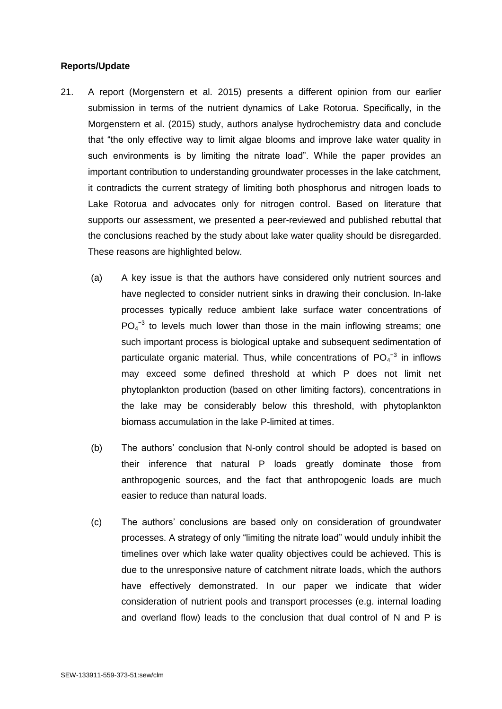## **Reports/Update**

- 21. A report (Morgenstern et al. 2015) presents a different opinion from our earlier submission in terms of the nutrient dynamics of Lake Rotorua. Specifically, in the Morgenstern et al. (2015) study, authors analyse hydrochemistry data and conclude that "the only effective way to limit algae blooms and improve lake water quality in such environments is by limiting the nitrate load". While the paper provides an important contribution to understanding groundwater processes in the lake catchment, it contradicts the current strategy of limiting both phosphorus and nitrogen loads to Lake Rotorua and advocates only for nitrogen control. Based on literature that supports our assessment, we presented a peer-reviewed and published rebuttal that the conclusions reached by the study about lake water quality should be disregarded. These reasons are highlighted below.
	- (a) A key issue is that the authors have considered only nutrient sources and have neglected to consider nutrient sinks in drawing their conclusion. In-lake processes typically reduce ambient lake surface water concentrations of  $PO<sub>4</sub><sup>-3</sup>$  to levels much lower than those in the main inflowing streams; one such important process is biological uptake and subsequent sedimentation of particulate organic material. Thus, while concentrations of  $PO_4^{-3}$  in inflows may exceed some defined threshold at which P does not limit net phytoplankton production (based on other limiting factors), concentrations in the lake may be considerably below this threshold, with phytoplankton biomass accumulation in the lake P-limited at times.
	- (b) The authors' conclusion that N-only control should be adopted is based on their inference that natural P loads greatly dominate those from anthropogenic sources, and the fact that anthropogenic loads are much easier to reduce than natural loads.
	- (c) The authors' conclusions are based only on consideration of groundwater processes. A strategy of only "limiting the nitrate load" would unduly inhibit the timelines over which lake water quality objectives could be achieved. This is due to the unresponsive nature of catchment nitrate loads, which the authors have effectively demonstrated. In our paper we indicate that wider consideration of nutrient pools and transport processes (e.g. internal loading and overland flow) leads to the conclusion that dual control of N and P is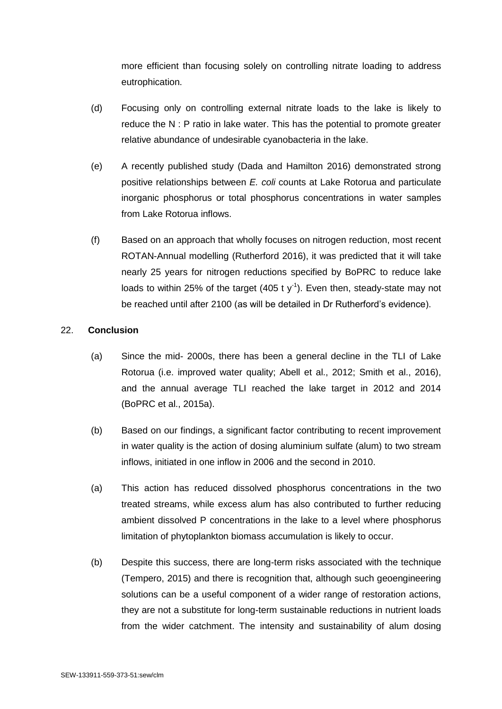more efficient than focusing solely on controlling nitrate loading to address eutrophication.

- (d) Focusing only on controlling external nitrate loads to the lake is likely to reduce the N : P ratio in lake water. This has the potential to promote greater relative abundance of undesirable cyanobacteria in the lake.
- (e) A recently published study (Dada and Hamilton 2016) demonstrated strong positive relationships between *E. coli* counts at Lake Rotorua and particulate inorganic phosphorus or total phosphorus concentrations in water samples from Lake Rotorua inflows.
- (f) Based on an approach that wholly focuses on nitrogen reduction, most recent ROTAN-Annual modelling (Rutherford 2016), it was predicted that it will take nearly 25 years for nitrogen reductions specified by BoPRC to reduce lake loads to within 25% of the target  $(405 \t{ t y}^{-1})$ . Even then, steady-state may not be reached until after 2100 (as will be detailed in Dr Rutherford's evidence).

# 22. **Conclusion**

- (a) Since the mid- 2000s, there has been a general decline in the TLI of Lake Rotorua (i.e. improved water quality; Abell et al., 2012; Smith et al., 2016), and the annual average TLI reached the lake target in 2012 and 2014 (BoPRC et al., 2015a).
- (b) Based on our findings, a significant factor contributing to recent improvement in water quality is the action of dosing aluminium sulfate (alum) to two stream inflows, initiated in one inflow in 2006 and the second in 2010.
- (a) This action has reduced dissolved phosphorus concentrations in the two treated streams, while excess alum has also contributed to further reducing ambient dissolved P concentrations in the lake to a level where phosphorus limitation of phytoplankton biomass accumulation is likely to occur.
- (b) Despite this success, there are long-term risks associated with the technique (Tempero, 2015) and there is recognition that, although such geoengineering solutions can be a useful component of a wider range of restoration actions, they are not a substitute for long-term sustainable reductions in nutrient loads from the wider catchment. The intensity and sustainability of alum dosing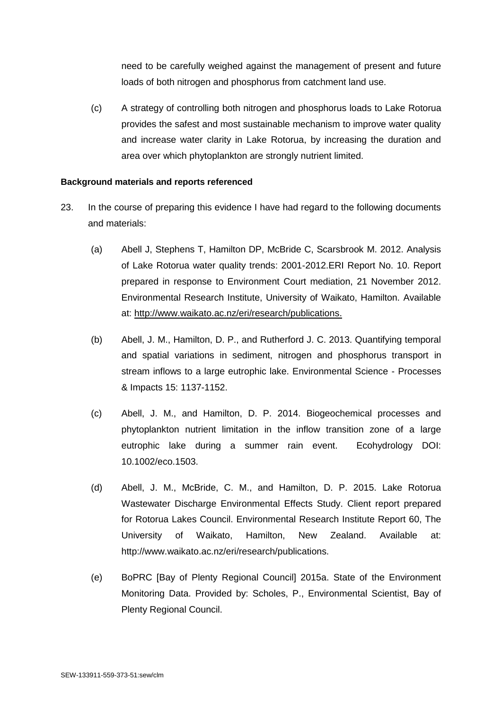need to be carefully weighed against the management of present and future loads of both nitrogen and phosphorus from catchment land use.

(c) A strategy of controlling both nitrogen and phosphorus loads to Lake Rotorua provides the safest and most sustainable mechanism to improve water quality and increase water clarity in Lake Rotorua, by increasing the duration and area over which phytoplankton are strongly nutrient limited.

### **Background materials and reports referenced**

- 23. In the course of preparing this evidence I have had regard to the following documents and materials:
	- (a) Abell J, Stephens T, Hamilton DP, McBride C, Scarsbrook M. 2012. Analysis of Lake Rotorua water quality trends: 2001-2012.ERI Report No. 10. Report prepared in response to Environment Court mediation, 21 November 2012. Environmental Research Institute, University of Waikato, Hamilton. Available at: [http://www.waikato.ac.nz/eri/research/publications.](http://www.waikato.ac.nz/eri/research/publications)
	- (b) Abell, J. M., Hamilton, D. P., and Rutherford J. C. 2013. Quantifying temporal and spatial variations in sediment, nitrogen and phosphorus transport in stream inflows to a large eutrophic lake. Environmental Science - Processes & Impacts 15: 1137-1152.
	- (c) Abell, J. M., and Hamilton, D. P. 2014. Biogeochemical processes and phytoplankton nutrient limitation in the inflow transition zone of a large eutrophic lake during a summer rain event. Ecohydrology DOI: 10.1002/eco.1503.
	- (d) Abell, J. M., McBride, C. M., and Hamilton, D. P. 2015. Lake Rotorua Wastewater Discharge Environmental Effects Study. Client report prepared for Rotorua Lakes Council. Environmental Research Institute Report 60, The University of Waikato, Hamilton, New Zealand. Available at: http://www.waikato.ac.nz/eri/research/publications.
	- (e) BoPRC [Bay of Plenty Regional Council] 2015a. State of the Environment Monitoring Data. Provided by: Scholes, P., Environmental Scientist, Bay of Plenty Regional Council.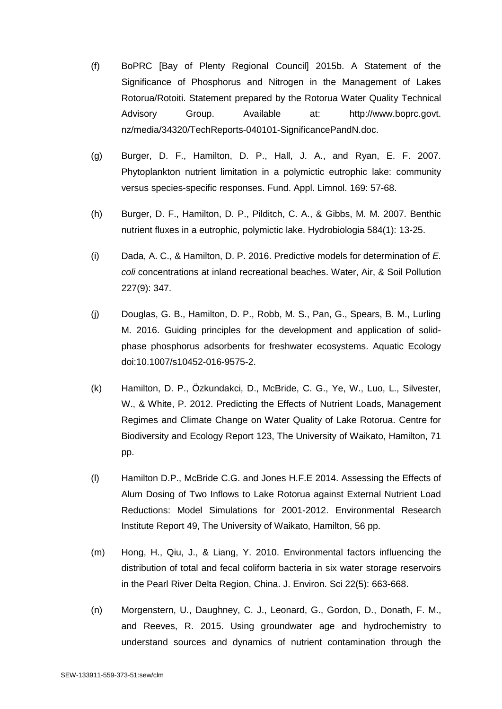- (f) BoPRC [Bay of Plenty Regional Council] 2015b. A Statement of the Significance of Phosphorus and Nitrogen in the Management of Lakes Rotorua/Rotoiti. Statement prepared by the Rotorua Water Quality Technical Advisory Group. Available at: http://www.boprc.govt. nz/media/34320/TechReports-040101-SignificancePandN.doc.
- (g) Burger, D. F., Hamilton, D. P., Hall, J. A., and Ryan, E. F. 2007. Phytoplankton nutrient limitation in a polymictic eutrophic lake: community versus species-specific responses. Fund. Appl. Limnol. 169: 57-68.
- (h) Burger, D. F., Hamilton, D. P., Pilditch, C. A., & Gibbs, M. M. 2007. Benthic nutrient fluxes in a eutrophic, polymictic lake. Hydrobiologia 584(1): 13-25.
- (i) Dada, A. C., & Hamilton, D. P. 2016. Predictive models for determination of *E. coli* concentrations at inland recreational beaches. Water, Air, & Soil Pollution 227(9): 347.
- (j) Douglas, G. B., Hamilton, D. P., Robb, M. S., Pan, G., Spears, B. M., Lurling M. 2016. Guiding principles for the development and application of solidphase phosphorus adsorbents for freshwater ecosystems. Aquatic Ecology doi:10.1007/s10452-016-9575-2.
- (k) Hamilton, D. P., Özkundakci, D., McBride, C. G., Ye, W., Luo, L., Silvester, W., & White, P. 2012. Predicting the Effects of Nutrient Loads, Management Regimes and Climate Change on Water Quality of Lake Rotorua. Centre for Biodiversity and Ecology Report 123, The University of Waikato, Hamilton, 71 pp.
- (l) Hamilton D.P., McBride C.G. and Jones H.F.E 2014. Assessing the Effects of Alum Dosing of Two Inflows to Lake Rotorua against External Nutrient Load Reductions: Model Simulations for 2001-2012. Environmental Research Institute Report 49, The University of Waikato, Hamilton, 56 pp.
- (m) Hong, H., Qiu, J., & Liang, Y. 2010. Environmental factors influencing the distribution of total and fecal coliform bacteria in six water storage reservoirs in the Pearl River Delta Region, China. J. Environ. Sci 22(5): 663-668.
- (n) Morgenstern, U., Daughney, C. J., Leonard, G., Gordon, D., Donath, F. M., and Reeves, R. 2015. Using groundwater age and hydrochemistry to understand sources and dynamics of nutrient contamination through the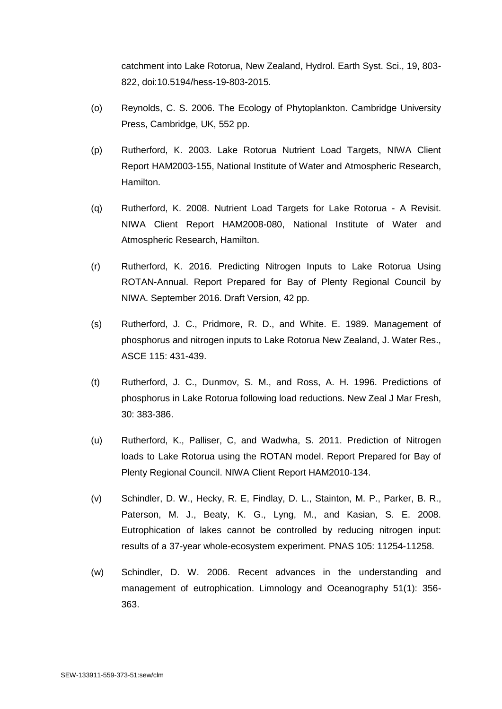catchment into Lake Rotorua, New Zealand, Hydrol. Earth Syst. Sci., 19, 803- 822, doi:10.5194/hess-19-803-2015.

- (o) Reynolds, C. S. 2006. The Ecology of Phytoplankton. Cambridge University Press, Cambridge, UK, 552 pp.
- (p) Rutherford, K. 2003. Lake Rotorua Nutrient Load Targets, NIWA Client Report HAM2003-155, National Institute of Water and Atmospheric Research, Hamilton.
- (q) Rutherford, K. 2008. Nutrient Load Targets for Lake Rotorua A Revisit. NIWA Client Report HAM2008-080, National Institute of Water and Atmospheric Research, Hamilton.
- (r) Rutherford, K. 2016. Predicting Nitrogen Inputs to Lake Rotorua Using ROTAN-Annual. Report Prepared for Bay of Plenty Regional Council by NIWA. September 2016. Draft Version, 42 pp.
- (s) Rutherford, J. C., Pridmore, R. D., and White. E. 1989. Management of phosphorus and nitrogen inputs to Lake Rotorua New Zealand, J. Water Res., ASCE 115: 431-439.
- (t) Rutherford, J. C., Dunmov, S. M., and Ross, A. H. 1996. Predictions of phosphorus in Lake Rotorua following load reductions. New Zeal J Mar Fresh, 30: 383-386.
- (u) Rutherford, K., Palliser, C, and Wadwha, S. 2011. Prediction of Nitrogen loads to Lake Rotorua using the ROTAN model. Report Prepared for Bay of Plenty Regional Council. NIWA Client Report HAM2010-134.
- (v) Schindler, D. W., Hecky, R. E, Findlay, D. L., Stainton, M. P., Parker, B. R., Paterson, M. J., Beaty, K. G., Lyng, M., and Kasian, S. E. 2008. Eutrophication of lakes cannot be controlled by reducing nitrogen input: results of a 37-year whole-ecosystem experiment. PNAS 105: 11254-11258.
- (w) Schindler, D. W. 2006. Recent advances in the understanding and management of eutrophication. Limnology and Oceanography 51(1): 356- 363.